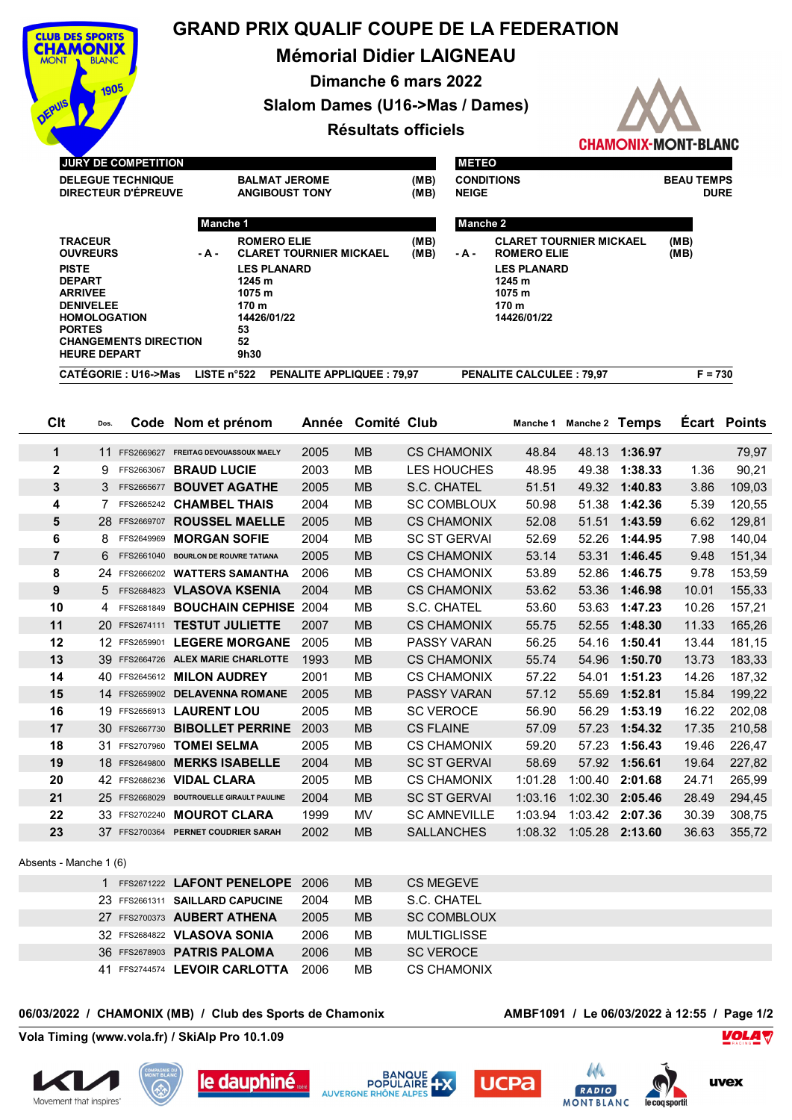

## **GRAND PRIX QUALIF COUPE DE LA FEDERATION**

**Mémorial Didier LAIGNEAU**

**Dimanche 6 mars 2022**

**Slalom Dames (U16->Mas / Dames)**

## **Résultats officiels**



| <b>CATEGORIE: U16-&gt;Mas</b>                       | LISTE $n°522$ | <b>PENALITE APPLIQUEE: 79.97</b> |      |                 | <b>PENALITE CALCULEE: 79,97</b> | $F = 730$         |
|-----------------------------------------------------|---------------|----------------------------------|------|-----------------|---------------------------------|-------------------|
| <b>CHANGEMENTS DIRECTION</b><br><b>HEURE DEPART</b> |               | 52<br>9h30                       |      |                 |                                 |                   |
| <b>PORTES</b>                                       |               | 53                               |      |                 |                                 |                   |
| <b>HOMOLOGATION</b>                                 |               | 14426/01/22                      |      |                 | 14426/01/22                     |                   |
| <b>DENIVELEE</b>                                    |               | 170 m                            |      |                 | 170 m                           |                   |
| <b>ARRIVEE</b>                                      |               | 1075 m                           |      |                 | 1075 m                          |                   |
| <b>DEPART</b>                                       |               | 1245 m                           |      |                 | 1245 m                          |                   |
| <b>PISTE</b>                                        |               | <b>LES PLANARD</b>               |      |                 | <b>LES PLANARD</b>              |                   |
| <b>OUVREURS</b>                                     | - A -         | <b>CLARET TOURNIER MICKAEL</b>   | (MB) | - A -           | <b>ROMERO ELIE</b>              | (MB)              |
| <b>TRACEUR</b>                                      |               | <b>ROMERO ELIE</b>               | (MB) |                 | <b>CLARET TOURNIER MICKAEL</b>  | (MB)              |
|                                                     | Manche 1      |                                  |      | <b>Manche 2</b> |                                 |                   |
| DIRECTEUR D'ÉPREUVE                                 |               | <b>ANGIBOUST TONY</b>            | (MB) | <b>NEIGE</b>    |                                 | <b>DURE</b>       |
| <b>DELEGUE TECHNIQUE</b>                            |               | <b>BALMAT JEROME</b>             | (MB) |                 | <b>CONDITIONS</b>               | <b>BEAU TEMPS</b> |
| <b>JURY DE COMPETITION</b>                          |               |                                  |      | <b>METEO</b>    |                                 |                   |

| Clt            | Dos.        |               | Code Nom et prénom                 | Année | Comité Club |                     | Manche 1 | Manche 2 Temps |                 |       | <b>Ecart Points</b> |
|----------------|-------------|---------------|------------------------------------|-------|-------------|---------------------|----------|----------------|-----------------|-------|---------------------|
|                |             |               |                                    |       |             |                     |          |                |                 |       |                     |
| $\mathbf 1$    |             | 11 FFS2669627 | <b>FREITAG DEVOUASSOUX MAELY</b>   | 2005  | <b>MB</b>   | <b>CS CHAMONIX</b>  | 48.84    | 48.13          | 1:36.97         |       | 79,97               |
| $\mathbf{2}$   | 9           | FFS2663067    | <b>BRAUD LUCIE</b>                 | 2003  | <b>MB</b>   | <b>LES HOUCHES</b>  | 48.95    | 49.38          | 1:38.33         | 1.36  | 90,21               |
| 3              |             | 3 FFS2665677  | <b>BOUVET AGATHE</b>               | 2005  | <b>MB</b>   | S.C. CHATEL         | 51.51    | 49.32          | 1:40.83         | 3.86  | 109,03              |
| 4              | $7^{\circ}$ | FFS2665242    | <b>CHAMBEL THAIS</b>               | 2004  | MВ          | <b>SC COMBLOUX</b>  | 50.98    | 51.38          | 1:42.36         | 5.39  | 120,55              |
| 5              |             | 28 FFS2669707 | <b>ROUSSEL MAELLE</b>              | 2005  | <b>MB</b>   | <b>CS CHAMONIX</b>  | 52.08    | 51.51          | 1:43.59         | 6.62  | 129,81              |
| 6              | 8           | FFS2649969    | <b>MORGAN SOFIE</b>                | 2004  | <b>MB</b>   | <b>SC ST GERVAL</b> | 52.69    | 52.26          | 1:44.95         | 7.98  | 140,04              |
| $\overline{7}$ | 6.          | FFS2661040    | <b>BOURLON DE ROUVRE TATIANA</b>   | 2005  | <b>MB</b>   | <b>CS CHAMONIX</b>  | 53.14    | 53.31          | 1:46.45         | 9.48  | 151,34              |
| 8              |             | 24 FFS2666202 | <b>WATTERS SAMANTHA</b>            | 2006  | <b>MB</b>   | <b>CS CHAMONIX</b>  | 53.89    | 52.86          | 1:46.75         | 9.78  | 153,59              |
| 9              |             | 5 FFS2684823  | <b>VLASOVA KSENIA</b>              | 2004  | <b>MB</b>   | <b>CS CHAMONIX</b>  | 53.62    | 53.36          | 1:46.98         | 10.01 | 155,33              |
| 10             | 4           | FFS2681849    | <b>BOUCHAIN CEPHISE</b>            | 2004  | <b>MB</b>   | S.C. CHATEL         | 53.60    | 53.63          | 1:47.23         | 10.26 | 157,21              |
| 11             |             | 20 FFS2674111 | <b>TESTUT JULIETTE</b>             | 2007  | <b>MB</b>   | <b>CS CHAMONIX</b>  | 55.75    | 52.55          | 1:48.30         | 11.33 | 165,26              |
| 12             |             | 12 FFS2659901 | <b>LEGERE MORGANE</b>              | 2005  | <b>MB</b>   | <b>PASSY VARAN</b>  | 56.25    | 54.16          | 1:50.41         | 13.44 | 181,15              |
| 13             |             | 39 FFS2664726 | <b>ALEX MARIE CHARLOTTE</b>        | 1993  | <b>MB</b>   | <b>CS CHAMONIX</b>  | 55.74    | 54.96          | 1:50.70         | 13.73 | 183,33              |
| 14             |             | 40 FFS2645612 | <b>MILON AUDREY</b>                | 2001  | <b>MB</b>   | <b>CS CHAMONIX</b>  | 57.22    | 54.01          | 1:51.23         | 14.26 | 187,32              |
| 15             |             | 14 FFS2659902 | <b>DELAVENNA ROMANE</b>            | 2005  | <b>MB</b>   | <b>PASSY VARAN</b>  | 57.12    | 55.69          | 1:52.81         | 15.84 | 199,22              |
| 16             |             | 19 FFS2656913 | <b>LAURENT LOU</b>                 | 2005  | MВ          | <b>SC VEROCE</b>    | 56.90    | 56.29          | 1:53.19         | 16.22 | 202,08              |
| 17             |             | 30 FFS2667730 | <b>BIBOLLET PERRINE</b>            | 2003  | <b>MB</b>   | <b>CS FLAINE</b>    | 57.09    | 57.23          | 1:54.32         | 17.35 | 210,58              |
| 18             |             | 31 FFS2707960 | <b>TOMEI SELMA</b>                 | 2005  | MВ          | <b>CS CHAMONIX</b>  | 59.20    | 57.23          | 1:56.43         | 19.46 | 226,47              |
| 19             |             | 18 FFS2649800 | <b>MERKS ISABELLE</b>              | 2004  | <b>MB</b>   | <b>SC ST GERVAL</b> | 58.69    | 57.92          | 1:56.61         | 19.64 | 227,82              |
| 20             |             | 42 FFS2686236 | <b>VIDAL CLARA</b>                 | 2005  | <b>MB</b>   | <b>CS CHAMONIX</b>  | 1:01.28  | 1:00.40        | 2:01.68         | 24.71 | 265,99              |
| 21             |             | 25 FFS2668029 | <b>BOUTROUELLE GIRAULT PAULINE</b> | 2004  | <b>MB</b>   | <b>SC ST GERVAI</b> | 1:03.16  | 1:02.30        | 2:05.46         | 28.49 | 294,45              |
| 22             |             | 33 FFS2702240 | <b>MOUROT CLARA</b>                | 1999  | MV          | <b>SC AMNEVILLE</b> | 1:03.94  | 1:03.42        | 2:07.36         | 30.39 | 308,75              |
| 23             |             | 37 FFS2700364 | PERNET COUDRIER SARAH              | 2002  | <b>MB</b>   | <b>SALLANCHES</b>   | 1:08.32  |                | 1:05.28 2:13.60 | 36.63 | 355,72              |
|                |             |               |                                    |       |             |                     |          |                |                 |       |                     |

Absents - Manche 1 (6)

|  | 1 FFS2671222 LAFONT PENELOPE 2006 |      | <b>MB</b> | CS MEGEVE          |
|--|-----------------------------------|------|-----------|--------------------|
|  | 23 FFS2661311 SAILLARD CAPUCINE   | 2004 | MВ        | S.C. CHATEL        |
|  | 27 FFS2700373 AUBERT ATHENA       | 2005 | <b>MB</b> | <b>SC COMBLOUX</b> |
|  | 32 FFS2684822 VLASOVA SONIA       | 2006 | MВ        | <b>MULTIGLISSE</b> |
|  | 36 FFS2678903 PATRIS PALOMA       | 2006 | <b>MB</b> | <b>SC VEROCE</b>   |
|  | 41 FFS2744574 LEVOIR CARLOTTA     | 2006 | MВ        | <b>CS CHAMONIX</b> |
|  |                                   |      |           |                    |

## **06/03/2022 / CHAMONIX (MB) / Club des Sports de Chamonix AMBF1091 / Le 06/03/2022 à 12:55 / Page 1/2**

**Vola Timing (www.vola.fr) / SkiAlp Pro 10.1.09**











**VOLA**